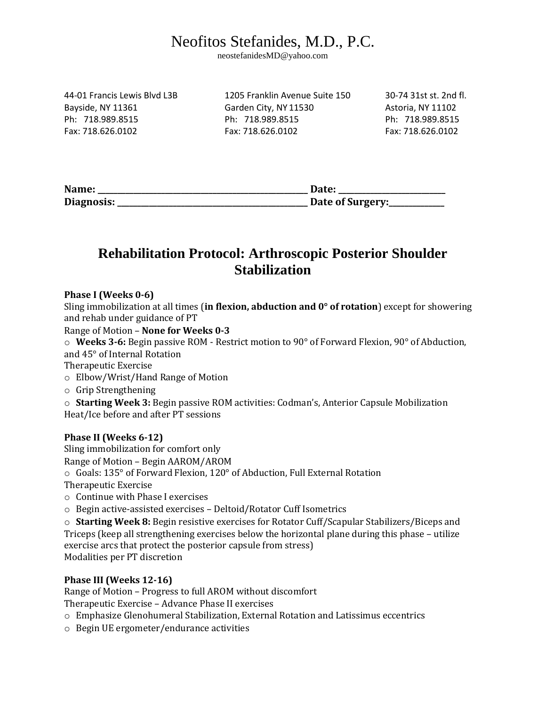# Neofitos Stefanides, M.D., P.C.

neostefanidesMD@yahoo.com

44-01 Francis Lewis Blvd L3B 1205 Franklin Avenue Suite 150 30-74 31st st. 2nd fl. Bayside, NY 11361 Garden City, NY 11530 Astoria, NY 11102 Ph: 718.989.8515 Ph: 718.989.8515 Ph: 718.989.8515 Fax: 718.626.0102 Fax: 718.626.0102 Fax: 718.626.0102

| Name:      | Date:            |
|------------|------------------|
| Diagnosis: | Date of Surgery: |

## **Rehabilitation Protocol: Arthroscopic Posterior Shoulder Stabilization**

### **Phase I (Weeks 0-6)**

Sling immobilization at all times (**in flexion, abduction and 0° of rotation**) except for showering and rehab under guidance of PT

#### Range of Motion – **None for Weeks 0-3**

o **Weeks 3-6:** Begin passive ROM - Restrict motion to 90° of Forward Flexion, 90° of Abduction, and 45° of Internal Rotation

Therapeutic Exercise

- o Elbow/Wrist/Hand Range of Motion
- o Grip Strengthening

o **Starting Week 3:** Begin passive ROM activities: Codman's, Anterior Capsule Mobilization Heat/Ice before and after PT sessions

#### **Phase II (Weeks 6-12)**

Sling immobilization for comfort only Range of Motion – Begin AAROM/AROM o Goals: 135° of Forward Flexion, 120° of Abduction, Full External Rotation Therapeutic Exercise

- o Continue with Phase I exercises
- o Begin active-assisted exercises Deltoid/Rotator Cuff Isometrics

o **Starting Week 8:** Begin resistive exercises for Rotator Cuff/Scapular Stabilizers/Biceps and Triceps (keep all strengthening exercises below the horizontal plane during this phase – utilize exercise arcs that protect the posterior capsule from stress) Modalities per PT discretion

#### **Phase III (Weeks 12-16)**

Range of Motion – Progress to full AROM without discomfort

Therapeutic Exercise – Advance Phase II exercises

- o Emphasize Glenohumeral Stabilization, External Rotation and Latissimus eccentrics
- o Begin UE ergometer/endurance activities